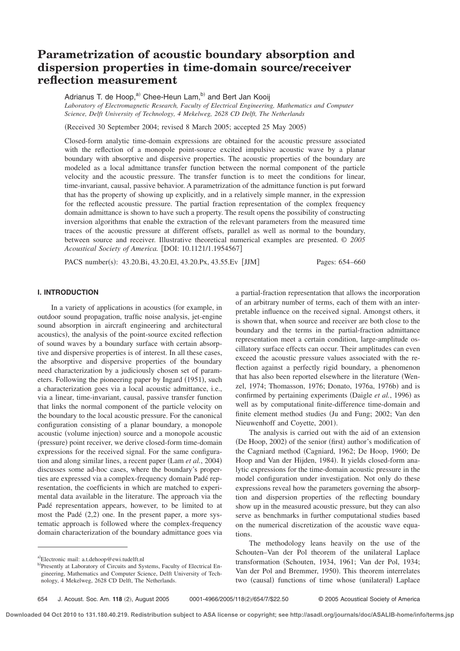# **Parametrization of acoustic boundary absorption and** dispersion properties in time-domain source/receiver **reflection measurement**

Adrianus T. de Hoop,<sup>a)</sup> Chee-Heun Lam,<sup>b)</sup> and Bert Jan Kooij

*Laboratory of Electromagnetic Research, Faculty of Electrical Engineering, Mathematics and Computer Science, Delft University of Technology, 4 Mekelweg, 2628 CD Delft, The Netherlands*

(Received 30 September 2004; revised 8 March 2005; accepted 25 May 2005)

Closed-form analytic time-domain expressions are obtained for the acoustic pressure associated with the reflection of a monopole point-source excited impulsive acoustic wave by a planar boundary with absorptive and dispersive properties. The acoustic properties of the boundary are modeled as a local admittance transfer function between the normal component of the particle velocity and the acoustic pressure. The transfer function is to meet the conditions for linear, time-invariant, causal, passive behavior. A parametrization of the admittance function is put forward that has the property of showing up explicitly, and in a relatively simple manner, in the expression for the reflected acoustic pressure. The partial fraction representation of the complex frequency domain admittance is shown to have such a property. The result opens the possibility of constructing inversion algorithms that enable the extraction of the relevant parameters from the measured time traces of the acoustic pressure at different offsets, parallel as well as normal to the boundary, between source and receiver. Illustrative theoretical numerical examples are presented. © *2005 Acoustical Society of America.* [DOI: 10.1121/1.1954567]

PACS number(s): 43.20.Bi, 43.20.El, 43.20.Px, 43.55.Ev [JJM] Pages: 654–660

# **I. INTRODUCTION**

In a variety of applications in acoustics (for example, in outdoor sound propagation, traffic noise analysis, jet-engine sound absorption in aircraft engineering and architectural acoustics), the analysis of the point-source excited reflection of sound waves by a boundary surface with certain absorptive and dispersive properties is of interest. In all these cases, the absorptive and dispersive properties of the boundary need characterization by a judiciously chosen set of parameters. Following the pioneering paper by Ingard  $(1951)$ , such a characterization goes via a local acoustic admittance, i.e., via a linear, time-invariant, causal, passive transfer function that links the normal component of the particle velocity on the boundary to the local acoustic pressure. For the canonical configuration consisting of a planar boundary, a monopole acoustic (volume injection) source and a monopole acoustic (pressure) point receiver, we derive closed-form time-domain expressions for the received signal. For the same configuration and along similar lines, a recent paper (Lam *et al.*, 2004) discusses some ad-hoc cases, where the boundary's properties are expressed via a complex-frequency domain Padé representation, the coefficients in which are matched to experimental data available in the literature. The approach via the Padé representation appears, however, to be limited to at most the Padé  $(2,2)$  one. In the present paper, a more systematic approach is followed where the complex-frequency domain characterization of the boundary admittance goes via a partial-fraction representation that allows the incorporation of an arbitrary number of terms, each of them with an interpretable influence on the received signal. Amongst others, it is shown that, when source and receiver are both close to the boundary and the terms in the partial-fraction admittance representation meet a certain condition, large-amplitude oscillatory surface effects can occur. Their amplitudes can even exceed the acoustic pressure values associated with the reflection against a perfectly rigid boundary, a phenomenon that has also been reported elsewhere in the literature (Wenzel, 1974; Thomasson, 1976; Donato, 1976a, 1976b) and is confirmed by pertaining experiments (Daigle *et al.*, 1996) as well as by computational finite-difference time-domain and finite element method studies (Ju and Fung; 2002; Van den Nieuwenhoff and Coyette, 2001).

The analysis is carried out with the aid of an extension  $(De Hoop, 2002)$  of the senior (first) author's modification of the Cagniard method (Cagniard, 1962; De Hoop, 1960; De Hoop and Van der Hijden, 1984). It yields closed-form analytic expressions for the time-domain acoustic pressure in the model configuration under investigation. Not only do these expressions reveal how the parameters governing the absorption and dispersion properties of the reflecting boundary show up in the measured acoustic pressure, but they can also serve as benchmarks in further computational studies based on the numerical discretization of the acoustic wave equations.

The methodology leans heavily on the use of the Schouten–Van der Pol theorem of the unilateral Laplace transformation (Schouten, 1934, 1961; Van der Pol, 1934; Van der Pol and Bremmer, 1950). This theorem interrelates two (causal) functions of time whose (unilateral) Laplace

a)Electronic mail: a.t.dehoop@ewi.tudelft.nl

b)Presently at Laboratory of Circuits and Systems, Faculty of Electrical Engineering, Mathematics and Computer Science, Delft University of Technology, 4 Mekelweg, 2628 CD Delft, The Netherlands.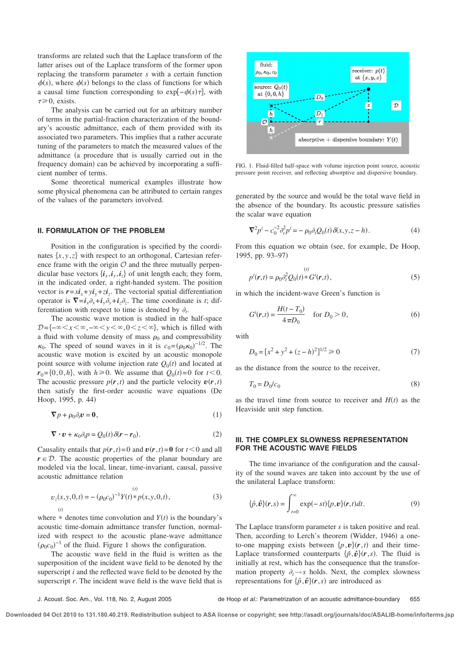transforms are related such that the Laplace transform of the latter arises out of the Laplace transform of the former upon replacing the transform parameter *s* with a certain function  $\phi(s)$ , where  $\phi(s)$  belongs to the class of functions for which a causal time function corresponding to exp $[-\phi(s)\tau]$ , with  $\tau \geq 0$ , exists.

The analysis can be carried out for an arbitrary number of terms in the partial-fraction characterization of the boundary's acoustic admittance, each of them provided with its associated two parameters. This implies that a rather accurate tuning of the parameters to match the measured values of the admittance (a procedure that is usually carried out in the frequency domain) can be achieved by incorporating a sufficient number of terms.

Some theoretical numerical examples illustrate how some physical phenomena can be attributed to certain ranges of the values of the parameters involved.

#### **II. FORMULATION OF THE PROBLEM**

Position in the configuration is specified by the coordinates  $\{x, y, z\}$  with respect to an orthogonal, Cartesian reference frame with the origin  $O$  and the three mutually perpendicular base vectors  $\{i_x, i_y, i_z\}$  of unit length each; they form, in the indicated order, a right-handed system. The position vector is  $\mathbf{r} = x\mathbf{i}_x + y\mathbf{i}_y + z\mathbf{i}_z$ . The vectorial spatial differentiation operator is  $\nabla = i_x \partial_x + i_y \partial_y + i_z \partial_z$ . The time coordinate is *t*; differentiation with respect to time is denoted by  $\partial_t$ .

The acoustic wave motion is studied in the half-space  $D=\{-\infty\leq x\leq \infty, -\infty\leq y\leq \infty, 0\leq z\leq \infty\}$ , which is filled with a fluid with volume density of mass  $\rho_0$  and compressibility  $\kappa_0$ . The speed of sound waves in it is  $c_0 = (\rho_0 \kappa_0)^{-1/2}$ . The acoustic wave motion is excited by an acoustic monopole point source with volume injection rate  $Q_0(t)$  and located at  $r_0 = \{0, 0, h\}$ , with  $h \ge 0$ . We assume that  $Q_0(t) = 0$  for  $t < 0$ . The acoustic pressure  $p(r, t)$  and the particle velocity  $v(r, t)$ then satisfy the first-order acoustic wave equations (De Hoop, 1995, p. 44)

$$
\nabla p + \rho_0 \partial_t \mathbf{v} = \mathbf{0},\tag{1}
$$

$$
\nabla \cdot \mathbf{v} + \kappa_0 \partial_t p = Q_0(t) \delta(\mathbf{r} - \mathbf{r}_0). \tag{2}
$$

Causality entails that  $p(r, t) = 0$  and  $v(r, t) = 0$  for  $t < 0$  and all  $r \in \mathcal{D}$ . The acoustic properties of the planar boundary are modeled via the local, linear, time-invariant, causal, passive acoustic admittance relation

$$
v_z(x, y, 0, t) = -(\rho_0 c_0)^{-1} Y(t) * p(x, y, 0, t),
$$
  
(3)

where  $*$  denotes time convolution and  $Y(t)$  is the boundary's acoustic time-domain admittance transfer function, normalized with respect to the acoustic plane-wave admittance  $(\rho_0 c_0)^{-1}$  of the fluid. Figure 1 shows the configuration.

The acoustic wave field in the fluid is written as the superposition of the incident wave field to be denoted by the superscript *i* and the reflected wave field to be denoted by the superscript *r*. The incident wave field is the wave field that is



FIG. 1. Fluid-filled half-space with volume injection point source, acoustic pressure point receiver, and reflecting absorptive and dispersive boundary.

generated by the source and would be the total wave field in the absence of the boundary. Its acoustic pressure satisfies the scalar wave equation

$$
\nabla^2 p^i - c_0^{-2} \partial_t^2 p^i = -\rho_0 \partial_t Q_0(t) \delta(x, y, z - h). \tag{4}
$$

From this equation we obtain (see, for example, De Hoop, 1995, pp. 93-97)

$$
p^{i}(\mathbf{r},t) = \rho_0 \partial_t^2 Q_0(t) * G^{i}(\mathbf{r},t),
$$
\n(5)

in which the incident-wave Green's function is

s*t*d

$$
G^{i}(\mathbf{r},t) = \frac{H(t - T_0)}{4\pi D_0} \quad \text{for } D_0 > 0,
$$
 (6)

with

$$
D_0 = [x^2 + y^2 + (z - h)^2]^{1/2} \ge 0
$$
\n(7)

as the distance from the source to the receiver,

$$
T_0 = D_0/c_0 \tag{8}
$$

as the travel time from source to receiver and  $H(t)$  as the Heaviside unit step function.

#### **III. THE COMPLEX SLOWNESS REPRESENTATION FOR THE ACOUSTIC WAVE FIELDS**

The time invariance of the configuration and the causality of the sound waves are taken into account by the use of the unilateral Laplace transform:

$$
\{\hat{p}, \hat{\boldsymbol{v}}\}(\boldsymbol{r}, s) = \int_{t=0}^{\infty} \exp(-st) \{p, \boldsymbol{v}\}(\boldsymbol{r}, t) dt.
$$
 (9)

The Laplace transform parameter *s* is taken positive and real. Then, according to Lerch's theorem (Widder, 1946) a oneto-one mapping exists between  $\{p, v\}(r, t)$  and their time-Laplace transformed counterparts  $\{\hat{p}, \hat{v}\}(r, s)$ . The fluid is initially at rest, which has the consequence that the transformation property  $\partial_t \rightarrow s$  holds. Next, the complex slowness representations for  $\{\hat{p}, \hat{v}\}(r, s)$  are introduced as

J. Acoust. Soc. Am., Vol. 118, No. 2, August 2005 de Hoop et al.: Parametrization of an acoustic admittance-boundary 655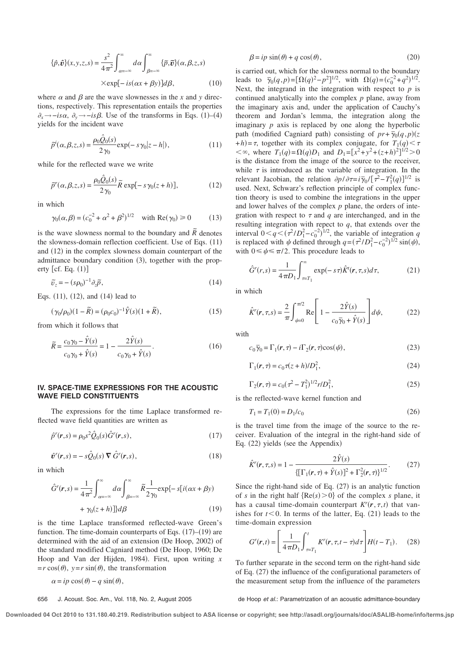$$
\{\hat{p}, \hat{\boldsymbol{\upsilon}}\}(x, y, z, s) = \frac{s^2}{4\pi^2} \int_{\alpha = -\infty}^{\infty} d\alpha \int_{\beta = -\infty}^{\infty} {\{\tilde{p}, \tilde{\boldsymbol{\upsilon}}\}(\alpha, \beta, z, s) \times \exp[-i s (\alpha x + \beta y)] d\beta},
$$
\n(10)

where  $\alpha$  and  $\beta$  are the wave slownesses in the *x* and *y* directions, respectively. This representation entails the properties  $\partial_x \rightarrow -i s \alpha$ ,  $\partial_y \rightarrow -i s \beta$ . Use of the transforms in Eqs. (1)–(4) yields for the incident wave

$$
\tilde{p}^i(\alpha, \beta, z, s) = \frac{\rho_0 \hat{Q}_0(s)}{2\gamma_0} \exp(-s\gamma_0|z - h|),\tag{11}
$$

while for the reflected wave we write

$$
\tilde{p}^r(\alpha, \beta, z, s) = \frac{\rho_0 \hat{Q}_0(s)}{2\gamma_0} \tilde{R} \exp[-s\gamma_0(z+h)],\tag{12}
$$

in which

$$
\gamma_0(\alpha, \beta) = (c_0^{-2} + \alpha^2 + \beta^2)^{1/2}
$$
 with Re $(\gamma_0) \ge 0$  (13)

is the wave slowness normal to the boundary and  $\tilde{R}$  denotes the slowness-domain reflection coefficient. Use of Eqs.  $(11)$ and  $(12)$  in the complex slowness domain counterpart of the admittance boundary condition  $(3)$ , together with the property  $[cf. Eq. (1)]$ 

$$
\tilde{v}_z = -(s\rho_0)^{-1}\partial_z \tilde{p},\qquad(14)
$$

Eqs.  $(11)$ ,  $(12)$ , and  $(14)$  lead to

$$
(\gamma_0/\rho_0)(1 - \tilde{R}) = (\rho_0 c_0)^{-1} \hat{Y}(s)(1 + \tilde{R}),
$$
\n(15)

from which it follows that

$$
\widetilde{R} = \frac{c_0 \gamma_0 - \hat{Y}(s)}{c_0 \gamma_0 + \hat{Y}(s)} = 1 - \frac{2\hat{Y}(s)}{c_0 \gamma_0 + \hat{Y}(s)}.
$$
\n(16)

### **IV. SPACE-TIME EXPRESSIONS FOR THE ACOUSTIC WAVE FIELD CONSTITUENTS**

The expressions for the time Laplace transformed reflected wave field quantities are written as

$$
\hat{p}^r(\mathbf{r},s) = \rho_0 s^2 \hat{Q}_0(s) \hat{G}^r(\mathbf{r},s),\tag{17}
$$

$$
\hat{\boldsymbol{v}}^r(\boldsymbol{r},s) = -s\hat{Q}_0(s) \boldsymbol{\nabla} \hat{G}^r(\boldsymbol{r},s),\tag{18}
$$

in which

$$
\hat{G}^r(\mathbf{r}, s) = \frac{1}{4\pi^2} \int_{\alpha = -\infty}^{\infty} d\alpha \int_{\beta = -\infty}^{\infty} \tilde{R} \frac{1}{2\gamma_0} \exp\{-s[i(\alpha x + \beta y) + \gamma_0 (z + h)]\} d\beta
$$
\n(19)

is the time Laplace transformed reflected-wave Green's function. The time-domain counterparts of Eqs.  $(17)–(19)$  are determined with the aid of an extension (De Hoop,  $2002$ ) of the standard modified Cagniard method (De Hoop, 1960; De Hoop and Van der Hijden, 1984). First, upon writing *x*  $=r \cos(\theta)$ ,  $y=r \sin(\theta)$ , the transformation

$$
\alpha = ip\cos(\theta) - q\sin(\theta),
$$

$$
\beta = ip \sin(\theta) + q \cos(\theta),\tag{20}
$$

is carried out, which for the slowness normal to the boundary leads to  $\bar{\gamma}_0(q, p) = [\Omega(q)^2 - p^2]^{1/2}$ , with  $\Omega(q) = (c_0^{-2} + q^2)^{1/2}$ . Next, the integrand in the integration with respect to  $p$  is continued analytically into the complex *p* plane, away from the imaginary axis and, under the application of Cauchy's theorem and Jordan's lemma, the integration along the imaginary *p* axis is replaced by one along the hyperbolic path (modified Cagniard path) consisting of  $pr + \overline{\gamma}_0(q, p)(z)$  $+h$ )= $\tau$ , together with its complex conjugate, for  $T_1(q) < \tau$  $<\infty$ , where  $T_1(q) = \Omega(q)D_1$  and  $D_1 = [x^2 + y^2 + (z+h)^2]^{1/2} > 0$ is the distance from the image of the source to the receiver, while  $\tau$  is introduced as the variable of integration. In the relevant Jacobian, the relation  $\partial p / \partial \tau = i \bar{\gamma}_0 / [\tau^2 - T_1^2(q)]^{1/2}$  is used. Next, Schwarz's reflection principle of complex function theory is used to combine the integrations in the upper and lower halves of the complex *p* plane, the orders of integration with respect to  $\tau$  and  $q$  are interchanged, and in the resulting integration with repect to *q*, that extends over the interval  $0 < q < (\tau^2/D_1^2 - c_0^{-2})^{1/2}$ , the variable of integration *q* is replaced with  $\psi$  defined through  $q = (\tau^2/D_1^2 - c_0^{-2})^{1/2} \sin(\psi)$ , with  $0 \le \psi \le \pi/2$ . This procedure leads to

$$
\hat{G}^r(r,s) = \frac{1}{4\pi D_1} \int_{\tau=T_1}^{\infty} \exp(-s\tau) \hat{K}^r(r,\tau,s) d\tau,
$$
 (21)

in which

$$
\hat{K}^{r}(\mathbf{r},\tau,s) = \frac{2}{\pi} \int_{\psi=0}^{\pi/2} \text{Re}\left[1 - \frac{2\hat{Y}(s)}{c_{0}\overline{\gamma}_{0} + \hat{Y}(s)}\right] d\psi, \tag{22}
$$

with

$$
c_0 \overline{\gamma}_0 = \Gamma_1(\mathbf{r}, \tau) - i \Gamma_2(\mathbf{r}, \tau) \cos(\psi), \tag{23}
$$

$$
\Gamma_1(\mathbf{r}, \tau) = c_0 \tau(z + h) / D_1^2,\tag{24}
$$

$$
\Gamma_2(r,\tau) = c_0(\tau^2 - T_1^2)^{1/2} r / D_1^2,\tag{25}
$$

is the reflected-wave kernel function and

$$
T_1 = T_1(0) = D_1/c_0 \tag{26}
$$

is the travel time from the image of the source to the receiver. Evaluation of the integral in the right-hand side of Eq.  $(22)$  yields (see the Appendix)

$$
\hat{K}^r(\mathbf{r}, \tau, s) = 1 - \frac{2\hat{Y}(s)}{\{\left[\Gamma_1(\mathbf{r}, \tau) + \hat{Y}(s)\right]^2 + \Gamma_2^2(\mathbf{r}, \tau)\}^{1/2}}.
$$
(27)

Since the right-hand side of Eq.  $(27)$  is an analytic function of *s* in the right half  ${Re(s) > 0}$  of the complex *s* plane, it has a causal time-domain counterpart  $K^r(r, \tau, t)$  that vanishes for  $t < 0$ . In terms of the latter, Eq. (21) leads to the time-domain expression

$$
G^{r}(\mathbf{r},t) = \left[\frac{1}{4\pi D_{1}} \int_{\tau=T_{1}}^{t} K^{r}(\mathbf{r},\tau,t-\tau)d\tau\right] H(t-T_{1}). \quad (28)
$$

To further separate in the second term on the right-hand side of Eq.  $(27)$  the influence of the configurational parameters of the measurement setup from the influence of the parameters

656 J. Acoust. Soc. Am., Vol. 118, No. 2, August 2005 de Hoop et al.: Parametrization of an acoustic admittance-boundary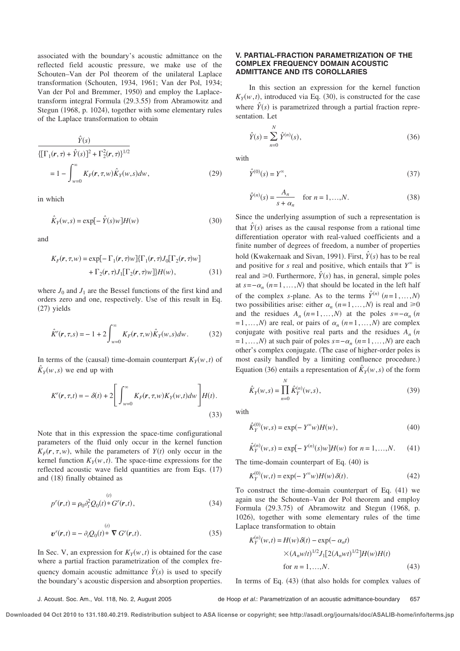associated with the boundary's acoustic admittance on the reflected field acoustic pressure, we make use of the Schouten–Van der Pol theorem of the unilateral Laplace transformation (Schouten, 1934, 1961; Van der Pol, 1934; Van der Pol and Bremmer, 1950) and employ the Laplacetransform integral Formula (29.3.55) from Abramowitz and Stegun (1968, p. 1024), together with some elementary rules of the Laplace transformation to obtain

$$
\frac{\hat{Y}(s)}{\{\Gamma_1(\mathbf{r}, \tau) + \hat{Y}(s)\}^2 + \Gamma_2^2(\mathbf{r}, \tau)\}^{1/2}}
$$
  
=  $1 - \int_{w=0}^{\infty} K_F(\mathbf{r}, \tau, w) \hat{K}_Y(w, s) dw,$  (29)

in which

$$
\hat{K}_Y(w,s) = \exp[-\hat{Y}(s)w]H(w)
$$
\n(30)

and

$$
K_F(\mathbf{r}, \tau, w) = \exp[-\Gamma_1(\mathbf{r}, \tau)w] \{\Gamma_1(\mathbf{r}, \tau) J_0[\Gamma_2(\mathbf{r}, \tau)w] + \Gamma_2(\mathbf{r}, \tau) J_1[\Gamma_2(\mathbf{r}, \tau)w] \} H(w),
$$
\n(31)

where  $J_0$  and  $J_1$  are the Bessel functions of the first kind and orders zero and one, respectively. Use of this result in Eq.  $(27)$  yields

$$
\hat{K}^{r}(r, \tau, s) = -1 + 2 \int_{w=0}^{\infty} K_{F}(r, \tau, w) \hat{K}_{Y}(w, s) dw.
$$
 (32)

In terms of the (causal) time-domain counterpart  $K_Y(w, t)$  of  $\hat{K}_Y(w, s)$  we end up with

$$
K^{r}(r,\tau,t) = -\delta(t) + 2\left[\int_{w=0}^{\infty} K_{F}(r,\tau,w)K_{Y}(w,t)dw\right]H(t).
$$
\n(33)

Note that in this expression the space-time configurational parameters of the fluid only occur in the kernel function  $K_F(r, \tau, w)$ , while the parameters of  $Y(t)$  only occur in the kernel function  $K_Y(w, t)$ . The space-time expressions for the reflected acoustic wave field quantities are from Eqs.  $(17)$ and  $(18)$  finally obtained as

$$
p^{r}(\mathbf{r},t) = \rho_0 \partial_t^2 Q_0(t) * G^{r}(\mathbf{r},t),
$$
\n(34)

$$
\boldsymbol{v}^{r}(\boldsymbol{r},t) = -\partial_{t}Q_{0}(t)^{*} \ \nabla G^{r}(\boldsymbol{r},t). \qquad (35)
$$

In Sec. V, an expression for  $K_Y(w, t)$  is obtained for the case where a partial fraction parametrization of the complex frequency domain acoustic admittance  $\hat{Y}(s)$  is used to specify the boundary's acoustic dispersion and absorption properties.

#### **V. PARTIAL-FRACTION PARAMETRIZATION OF THE COMPLEX FREQUENCY DOMAIN ACOUSTIC ADMITTANCE AND ITS COROLLARIES**

In this section an expression for the kernel function  $K_Y(w, t)$ , introduced via Eq. (30), is constructed for the case where  $\hat{Y}(s)$  is parametrized through a partial fraction representation. Let

$$
\hat{Y}(s) = \sum_{n=0}^{N} \hat{Y}^{(n)}(s),
$$
\n(36)

with

$$
\hat{Y}^{(0)}(s) = Y^{\infty},\tag{37}
$$

$$
\hat{Y}^{(n)}(s) = \frac{A_n}{s + \alpha_n} \quad \text{for } n = 1, ..., N.
$$
 (38)

Since the underlying assumption of such a representation is that  $\hat{Y}(s)$  arises as the causal response from a rational time differentiation operator with real-valued coefficients and a finite number of degrees of freedom, a number of properties hold (Kwakernaak and Sivan, 1991). First,  $\hat{Y}(s)$  has to be real and positive for *s* real and positive, which entails that  $Y^{\infty}$  is real and  $\geq 0$ . Furthermore,  $\hat{Y}(s)$  has, in general, simple poles at  $s = -\alpha_n$  ( $n = 1, \ldots, N$ ) that should be located in the left half of the complex *s*-plane. As to the terms  $\hat{Y}^{(n)}$   $(n=1,...,N)$ two possibilities arise: either  $\alpha_n$  ( $n = 1, ..., N$ ) is real and  $\geq 0$ and the residues  $A_n$  ( $n=1,...,N$ ) at the poles  $s=-\alpha_n$  ( $n=1,...,N$ )  $= 1, \ldots, N$  are real, or pairs of  $\alpha_n$  ( $n = 1, \ldots, N$ ) are complex conjugate with positive real parts and the residues  $A_n$  (*n*  $= 1, \ldots, N$  at such pair of poles  $s = -\alpha_n$   $(n = 1, \ldots, N)$  are each other's complex conjugate. (The case of higher-order poles is most easily handled by a limiting confluence procedure.) Equation (36) entails a representation of  $\hat{K}_Y(w, s)$  of the form

$$
\hat{K}_Y(w,s) = \prod_{n=0}^N \hat{K}_Y^{(n)}(w,s),
$$
\n(39)

with

$$
\hat{K}_Y^{(0)}(w,s) = \exp(-Y^{\infty}w)H(w),
$$
\n(40)

$$
\hat{K}_Y^{(n)}(w,s) = \exp[-Y^{(n)}(s)w]H(w) \text{ for } n = 1,...,N. \tag{41}
$$

The time-domain counterpart of Eq.  $(40)$  is

$$
K_Y^{(0)}(w,t) = \exp(-Y^{\infty}w)H(w)\,\delta(t). \tag{42}
$$

To construct the time-domain counterpart of Eq.  $(41)$  we again use the Schouten–Van der Pol theorem and employ Formula (29.3.75) of Abramowitz and Stegun (1968, p. 1026), together with some elementary rules of the time Laplace transformation to obtain

$$
K_Y^{(n)}(w,t) = H(w)\delta(t) - \exp(-\alpha_n t)
$$
  
× $(A_n w/t)^{1/2} J_1[2(A_n wt)^{1/2}]H(w)H(t)$   
for  $n = 1,...,N$ . (43)

In terms of Eq.  $(43)$  (that also holds for complex values of

#### J. Acoust. Soc. Am., Vol. 118, No. 2, August 2005 de Hoop et al.: Parametrization of an acoustic admittance-boundary 657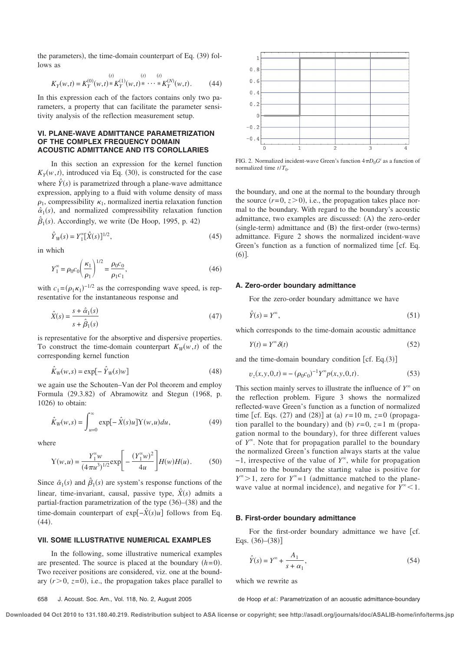the parameters), the time-domain counterpart of Eq.  $(39)$  follows as

$$
K_Y(w,t) = K_Y^{(0)}(w,t) * K_Y^{(1)}(w,t) * \cdots * K_Y^{(N)}(w,t).
$$
 (44)

In this expression each of the factors contains only two parameters, a property that can facilitate the parameter sensitivity analysis of the reflection measurement setup.

#### **VI. PLANE-WAVE ADMITTANCE PARAMETRIZATION OF THE COMPLEX FREQUENCY DOMAIN ACOUSTIC ADMITTANCE AND ITS COROLLARIES**

In this section an expression for the kernel function  $K_Y(w, t)$ , introduced via Eq. (30), is constructed for the case where  $\hat{Y}(s)$  is parametrized through a plane-wave admittance expression, applying to a fluid with volume density of mass  $\rho_1$ , compressibility  $\kappa_1$ , normalized inertia relaxation function  $\hat{\alpha}_1(s)$ , and normalized compressibility relaxation function  $\hat{\beta}_1(s)$ . Accordingly, we write (De Hoop, 1995, p. 42)

$$
\hat{Y}_W(s) = Y_1^{\infty} [\hat{X}(s)]^{1/2},\tag{45}
$$

in which

$$
Y_1^{\infty} = \rho_0 c_0 \left(\frac{\kappa_1}{\rho_1}\right)^{1/2} = \frac{\rho_0 c_0}{\rho_1 c_1},\tag{46}
$$

with  $c_1 = (\rho_1 \kappa_1)^{-1/2}$  as the corresponding wave speed, is representative for the instantaneous response and

$$
\hat{X}(s) = \frac{s + \hat{\alpha}_1(s)}{s + \hat{\beta}_1(s)}\tag{47}
$$

is representative for the absorptive and dispersive properties. To construct the time-domain counterpart  $K_W(w,t)$  of the corresponding kernel function

$$
\hat{K}_W(w,s) = \exp[-\hat{Y}_W(s)w]
$$
\n(48)

we again use the Schouten–Van der Pol theorem and employ Formula  $(29.3.82)$  of Abramowitz and Stegun  $(1968, p.$  $1026$  to obtain:

$$
\hat{K}_W(w,s) = \int_{u=0}^{\infty} \exp[-\hat{X}(s)u] Y(w,u) du,
$$
\n(49)

where

$$
Y(w, u) = \frac{Y_1^{\infty}w}{(4\pi u^3)^{1/2}} \exp\left[-\frac{(Y_1^{\infty}w)^2}{4u}\right] H(w)H(u).
$$
 (50)

Since  $\hat{\alpha}_1(s)$  and  $\hat{\beta}_1(s)$  are system's response functions of the linear, time-invariant, causal, passive type,  $\hat{X}(s)$  admits a partial-fraction parametrization of the type  $(36)$ – $(38)$  and the time-domain counterpart of exp $\left[ -\hat{X}(s)u \right]$  follows from Eq.  $(44)$ .

#### **VII. SOME ILLUSTRATIVE NUMERICAL EXAMPLES**

In the following, some illustrative numerical examples are presented. The source is placed at the boundary  $(h= 0)$ . Two receiver positions are considered, viz. one at the boundary  $(r>0, z=0)$ , i.e., the propagation takes place parallel to



FIG. 2. Normalized incident-wave Green's function  $4\pi D_0 G^i$  as a function of normalized time  $t/T_0$ .

the boundary, and one at the normal to the boundary through the source  $(r= 0, z>0)$ , i.e., the propagation takes place normal to the boundary. With regard to the boundary's acoustic admittance, two examples are discussed:  $(A)$  the zero-order  $(single-term)$  admittance and  $(B)$  the first-order (two-terms) admittance. Figure 2 shows the normalized incident-wave Green's function as a function of normalized time fcf. Eq.  $(6)$ ].

#### **A. Zero-order boundary admittance**

For the zero-order boundary admittance we have

$$
\hat{Y}(s) = Y^{\infty},\tag{51}
$$

which corresponds to the time-domain acoustic admittance

$$
Y(t) = Y^{\infty} \delta(t) \tag{52}
$$

and the time-domain boundary condition [cf. Eq.(3)]

$$
v_z(x, y, 0, t) = -(\rho_0 c_0)^{-1} Y^{\infty} p(x, y, 0, t).
$$
 (53)

This section mainly serves to illustrate the influence of  $Y^{\infty}$  on the reflection problem. Figure 3 shows the normalized reflected-wave Green's function as a function of normalized time [cf. Eqs. (27) and (28)] at (a)  $r=10$  m,  $z=0$  (propagation parallel to the boundary) and (b)  $r=0$ ,  $z=1$  m (propagation normal to the boundary), for three different values of  $Y^{\infty}$ . Note that for propagation parallel to the boundary the normalized Green's function always starts at the value −1, irrespective of the value of *Y* ` , while for propagation normal to the boundary the starting value is positive for  $Y^{\infty} > 1$ , zero for  $Y^{\infty} = 1$  (admittance matched to the planewave value at normal incidence), and negative for  $Y^{\infty}$  < 1.

#### **B. First-order boundary admittance**

For the first-order boundary admittance we have [cf. Eqs.  $(36)–(38)$ ]

$$
\hat{Y}(s) = Y^{\infty} + \frac{A_1}{s + \alpha_1},\tag{54}
$$

which we rewrite as

658 J. Acoust. Soc. Am., Vol. 118, No. 2, August 2005 de Hoop et al.: Parametrization of an acoustic admittance-boundary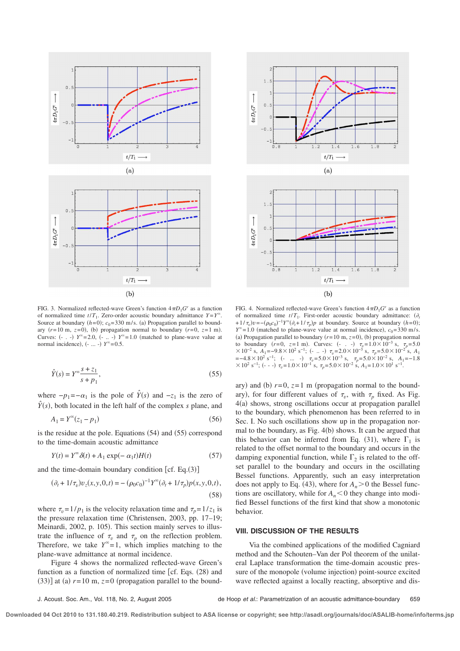

FIG. 3. Normalized reflected-wave Green's function  $4\pi D_1 G^r$  as a function of normalized time  $t/T_1$ . Zero-order acoustic boundary admittance  $Y = Y^{\infty}$ . Source at boundary  $(h= 0)$ ;  $c_0 = 330$  m/s. (a) Propagation parallel to boundary  $(r= 10 \text{ m}, z= 0)$ , (b) propagation normal to boundary  $(r=0, z=1 \text{ m})$ . Curves:  $(- \tcdot)$  *Y*<sup> $\infty$ </sup>=2.0,  $(- \tcdot)$  *Y*<sup> $\infty$ </sup>=1.0 (matched to plane-wave value at normal incidence),  $(- \dots -)$  *Y*<sup> $\infty$ </sup>=0.5.

$$
\hat{Y}(s) = Y^{\infty} \frac{s + z_1}{s + p_1},\tag{55}
$$

where  $-p_1 = -\alpha_1$  is the pole of  $\hat{Y}(s)$  and  $-z_1$  is the zero of  $\hat{Y}(s)$ , both located in the left half of the complex *s* plane, and

$$
A_1 = Y^{\infty}(z_1 - p_1) \tag{56}
$$

is the residue at the pole. Equations  $(54)$  and  $(55)$  correspond to the time-domain acoustic admittance

$$
Y(t) = Y^{\infty} \delta(t) + A_1 \exp(-\alpha_1 t) H(t)
$$
\n(57)

and the time-domain boundary condition [cf. Eq.(3)]

$$
(\partial_t + 1/\tau_v)v_z(x, y, 0, t) = -(\rho_0 c_0)^{-1} Y^{\infty} (\partial_t + 1/\tau_p) p(x, y, 0, t),
$$
\n(58)

where  $\tau_v = 1/p_1$  is the velocity relaxation time and  $\tau_p = 1/z_1$  is the pressure relaxation time (Christensen, 2003, pp.  $17-19$ ; Meinardi, 2002, p. 105). This section mainly serves to illustrate the influence of  $\tau_v$  and  $\tau_p$  on the reflection problem. Therefore, we take  $Y^{\infty} = 1$ , which implies matching to the plane-wave admittance at normal incidence.

Figure 4 shows the normalized reflected-wave Green's function as a function of normalized time  $\lceil$  cf. Eqs. (28) and  $(33)$ ] at (a)  $r= 10$  m,  $z= 0$  (propagation parallel to the bound-



FIG. 4. Normalized reflected-wave Green's function  $4\pi D_1 G^r$  as a function of normalized time  $t/T_1$ . First-order acoustic boundary admittance:  $(\partial_t$ +  $1/\tau_v$ ) $v = -(p_0c_0)^{-1}Y^{\infty}(\partial_t + 1/\tau_p)p$  at boundary. Source at boundary (*h*=0);  $Y^{\infty}$ = 1.0 (matched to plane-wave value at normal incidence), *c*<sub>0</sub>=330 m/s. (a) Propagation parallel to boundary  $(r= 10 \text{ m}, z= 0)$ , (b) propagation normal to boundary  $(r=0, z=1 \text{ m})$ . Curves:  $(- \cdot -) \tau_v = 1.0 \times 10^{-3} \text{ s}, \tau_p = 5.0$  $\times 10^{-2}$  s,  $A_1 = -9.8 \times 10^2$  s<sup>-1</sup>; (- .. -)  $\tau_v = 2.0 \times 10^{-3}$  s,  $\tau_p = 5.0 \times 10^{-2}$  s,  $A_1$ **=**−4.8×10<sup>2</sup> s<sup>-1</sup>; (- ... -)  $τ<sub>v</sub>$ =5.0×10<sup>-3</sup> s,  $τ<sub>p</sub>$ =5.0×10<sup>-2</sup> s, *A*<sub>1</sub>=−1.8  $\times$  10<sup>2</sup> s<sup>-1</sup>; (- - -)  $\tau_v$ = 1.0  $\times$  10<sup>-1</sup> s,  $\tau_p$ = 5.0  $\times$  10<sup>-2</sup> s,  $A_1$ = 1.0  $\times$  10<sup>1</sup> s<sup>-1</sup>.

ary) and (b)  $r=0$ ,  $z=1$  m (propagation normal to the boundary), for four different values of  $\tau_v$ , with  $\tau_p$  fixed. As Fig.  $4(a)$  shows, strong oscillations occur at propagation parallel to the boundary, which phenomenon has been referred to in Sec. I. No such oscillations show up in the propagation normal to the boundary, as Fig.  $4(b)$  shows. It can be argued that this behavior can be inferred from Eq. (31), where  $\Gamma_1$  is related to the offset normal to the boundary and occurs in the damping exponential function, while  $\Gamma_2$  is related to the offset parallel to the boundary and occurs in the oscillating Bessel functions. Apparently, such an easy interpretation does not apply to Eq. (43), where for  $A_n > 0$  the Bessel functions are oscillatory, while for  $A_n < 0$  they change into modified Bessel functions of the first kind that show a monotonic behavior.

#### **VIII. DISCUSSION OF THE RESULTS**

Via the combined applications of the modified Cagniard method and the Schouten–Van der Pol theorem of the unilateral Laplace transformation the time-domain acoustic pressure of the monopole (volume injection) point-source excited wave reflected against a locally reacting, absorptive and dis-

J. Acoust. Soc. Am., Vol. 118, No. 2, August 2005 de Hoop et al.: Parametrization of an acoustic admittance-boundary 659